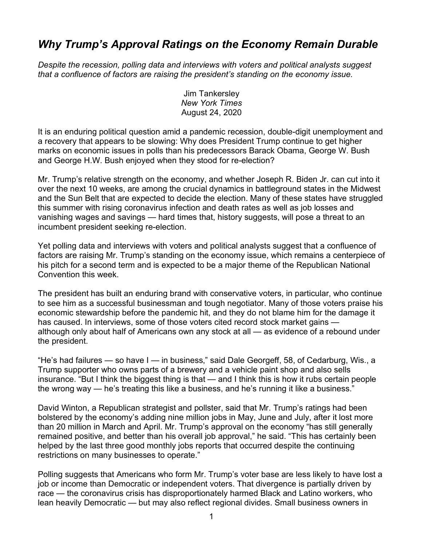## *Why Trump's Approval Ratings on the Economy Remain Durable*

*Despite the recession, polling data and interviews with voters and political analysts suggest that a confluence of factors are raising the president's standing on the economy issue.*

> Jim Tankersley *New York Times* August 24, 2020

It is an enduring political question amid a pandemic recession, double-digit unemployment and a recovery that appears to be slowing: Why does President Trump continue to get higher marks on economic issues in polls than his predecessors Barack Obama, George W. Bush and George H.W. Bush enjoyed when they stood for re-election?

Mr. Trump's relative strength on the economy, and whether Joseph R. Biden Jr. can cut into it over the next 10 weeks, are among the crucial dynamics in battleground states in the Midwest and the Sun Belt that are expected to decide the election. Many of these states have struggled this summer with rising coronavirus infection and death rates as well as job losses and vanishing wages and savings — hard times that, history suggests, will pose a threat to an incumbent president seeking re-election.

Yet polling data and interviews with voters and political analysts suggest that a confluence of factors are raising Mr. Trump's standing on the economy issue, which remains a centerpiece of his pitch for a second term and is expected to be a major theme of the Republican National Convention this week.

The president has built an enduring brand with conservative voters, in particular, who continue to see him as a successful businessman and tough negotiator. Many of those voters praise his economic stewardship before the pandemic hit, and they do not blame him for the damage it has caused. In interviews, some of those voters cited record stock market gains although only about half of Americans own any stock at all — as evidence of a rebound under the president.

"He's had failures — so have I — in business," said Dale Georgeff, 58, of Cedarburg, Wis., a Trump supporter who owns parts of a brewery and a vehicle paint shop and also sells insurance. "But I think the biggest thing is that — and I think this is how it rubs certain people the wrong way — he's treating this like a business, and he's running it like a business."

David Winton, a Republican strategist and pollster, said that Mr. Trump's ratings had been bolstered by the economy's adding nine million jobs in May, June and July, after it lost more than 20 million in March and April. Mr. Trump's approval on the economy "has still generally remained positive, and better than his overall job approval," he said. "This has certainly been helped by the last three good monthly jobs reports that occurred despite the continuing restrictions on many businesses to operate."

Polling suggests that Americans who form Mr. Trump's voter base are less likely to have lost a job or income than Democratic or independent voters. That divergence is partially driven by race — the coronavirus crisis has disproportionately harmed Black and Latino workers, who lean heavily Democratic — but may also reflect regional divides. Small business owners in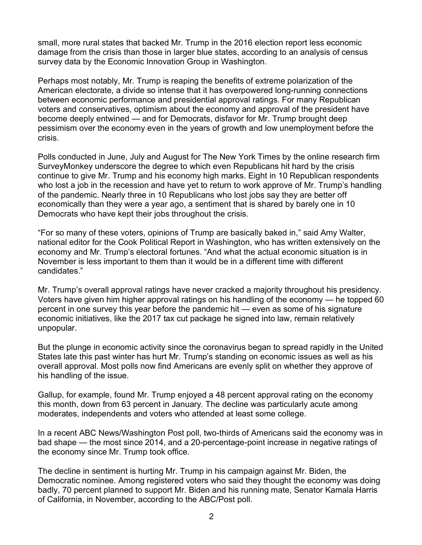small, more rural states that backed Mr. Trump in the 2016 election report less economic damage from the crisis than those in larger blue states, according to an analysis of census survey data by the Economic Innovation Group in Washington.

Perhaps most notably, Mr. Trump is reaping the benefits of extreme polarization of the American electorate, a divide so intense that it has overpowered long-running connections between economic performance and presidential approval ratings. For many Republican voters and conservatives, optimism about the economy and approval of the president have become deeply entwined — and for Democrats, disfavor for Mr. Trump brought deep pessimism over the economy even in the years of growth and low unemployment before the crisis.

Polls conducted in June, July and August for The New York Times by the online research firm SurveyMonkey underscore the degree to which even Republicans hit hard by the crisis continue to give Mr. Trump and his economy high marks. Eight in 10 Republican respondents who lost a job in the recession and have yet to return to work approve of Mr. Trump's handling of the pandemic. Nearly three in 10 Republicans who lost jobs say they are better off economically than they were a year ago, a sentiment that is shared by barely one in 10 Democrats who have kept their jobs throughout the crisis.

"For so many of these voters, opinions of Trump are basically baked in," said Amy Walter, national editor for the Cook Political Report in Washington, who has written extensively on the economy and Mr. Trump's electoral fortunes. "And what the actual economic situation is in November is less important to them than it would be in a different time with different candidates."

Mr. Trump's overall approval ratings have never cracked a majority throughout his presidency. Voters have given him higher approval ratings on his handling of the economy — he topped 60 percent in one survey this year before the pandemic hit — even as some of his signature economic initiatives, like the 2017 tax cut package he signed into law, remain relatively unpopular.

But the plunge in economic activity since the coronavirus began to spread rapidly in the United States late this past winter has hurt Mr. Trump's standing on economic issues as well as his overall approval. Most polls now find Americans are evenly split on whether they approve of his handling of the issue.

Gallup, for example, found Mr. Trump enjoyed a 48 percent approval rating on the economy this month, down from 63 percent in January. The decline was particularly acute among moderates, independents and voters who attended at least some college.

In a recent ABC News/Washington Post poll, two-thirds of Americans said the economy was in bad shape — the most since 2014, and a 20-percentage-point increase in negative ratings of the economy since Mr. Trump took office.

The decline in sentiment is hurting Mr. Trump in his campaign against Mr. Biden, the Democratic nominee. Among registered voters who said they thought the economy was doing badly, 70 percent planned to support Mr. Biden and his running mate, Senator Kamala Harris of California, in November, according to the ABC/Post poll.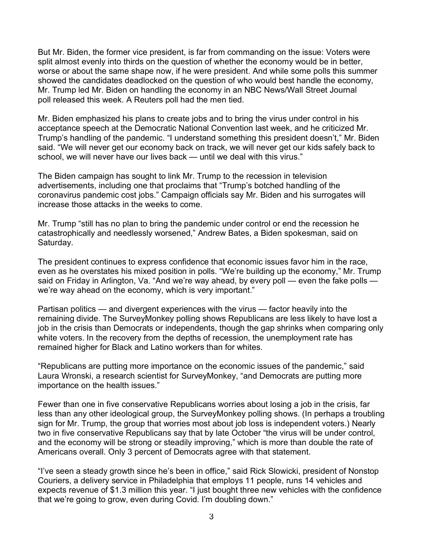But Mr. Biden, the former vice president, is far from commanding on the issue: Voters were split almost evenly into thirds on the question of whether the economy would be in better, worse or about the same shape now, if he were president. And while some polls this summer showed the candidates deadlocked on the question of who would best handle the economy, Mr. Trump led Mr. Biden on handling the economy in an NBC News/Wall Street Journal poll released this week. A Reuters poll had the men tied.

Mr. Biden emphasized his plans to create jobs and to bring the virus under control in his acceptance speech at the Democratic National Convention last week, and he criticized Mr. Trump's handling of the pandemic. "I understand something this president doesn't," Mr. Biden said. "We will never get our economy back on track, we will never get our kids safely back to school, we will never have our lives back — until we deal with this virus."

The Biden campaign has sought to link Mr. Trump to the recession in television advertisements, including one that proclaims that "Trump's botched handling of the coronavirus pandemic cost jobs." Campaign officials say Mr. Biden and his surrogates will increase those attacks in the weeks to come.

Mr. Trump "still has no plan to bring the pandemic under control or end the recession he catastrophically and needlessly worsened," Andrew Bates, a Biden spokesman, said on Saturday.

The president continues to express confidence that economic issues favor him in the race, even as he overstates his mixed position in polls. "We're building up the economy," Mr. Trump said on Friday in Arlington, Va. "And we're way ahead, by every poll — even the fake polls we're way ahead on the economy, which is very important."

Partisan politics — and divergent experiences with the virus — factor heavily into the remaining divide. The SurveyMonkey polling shows Republicans are less likely to have lost a job in the crisis than Democrats or independents, though the gap shrinks when comparing only white voters. In the recovery from the depths of recession, the unemployment rate has remained higher for Black and Latino workers than for whites.

"Republicans are putting more importance on the economic issues of the pandemic," said Laura Wronski, a research scientist for SurveyMonkey, "and Democrats are putting more importance on the health issues."

Fewer than one in five conservative Republicans worries about losing a job in the crisis, far less than any other ideological group, the SurveyMonkey polling shows. (In perhaps a troubling sign for Mr. Trump, the group that worries most about job loss is independent voters.) Nearly two in five conservative Republicans say that by late October "the virus will be under control, and the economy will be strong or steadily improving," which is more than double the rate of Americans overall. Only 3 percent of Democrats agree with that statement.

"I've seen a steady growth since he's been in office," said Rick Slowicki, president of Nonstop Couriers, a delivery service in Philadelphia that employs 11 people, runs 14 vehicles and expects revenue of \$1.3 million this year. "I just bought three new vehicles with the confidence that we're going to grow, even during Covid. I'm doubling down."